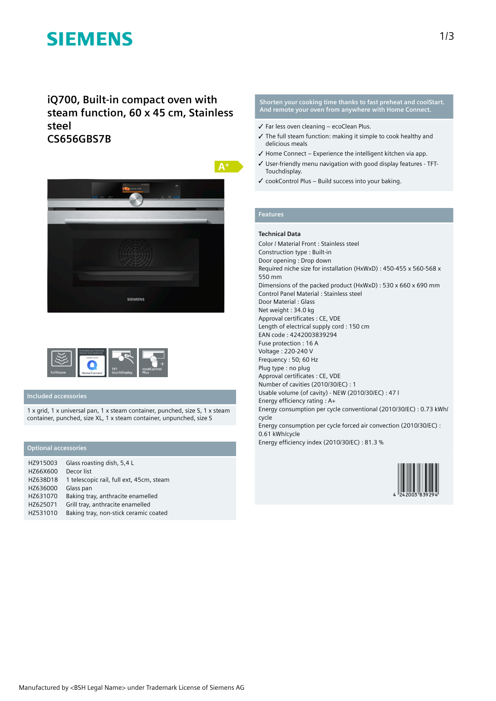# **SIEMENS**

**iQ700, Built-in compact oven with steam function, 60 x 45 cm, Stainless steel CS656GBS7B**





## **Included accessories**

1 x grid, 1 x universal pan, 1 x steam container, punched, size S, 1 x steam container, punched, size XL, 1 x steam container, unpunched, size S

# **Optional accessories**

| HZ915003 | Glass roasting dish, 5,4 L               |
|----------|------------------------------------------|
| HZ66X600 | Decor list                               |
| HZ638D18 | 1 telescopic rail, full ext, 45cm, steam |
| HZ636000 | Glass pan                                |
| HZ631070 | Baking tray, anthracite enamelled        |
| HZ625071 | Grill tray, anthracite enamelled         |
| HZ531010 | Baking tray, non-stick ceramic coated    |

### **Shorten your cooking time thanks to fast preheat and coolStart. And remote your oven from anywhere with Home Connect.**

- ✓ Far less oven cleaning ecoClean Plus.
- ✓ The full steam function: making it simple to cook healthy and delicious meals
- $\checkmark$  Home Connect Experience the intelligent kitchen via app.
- ✓ User-friendly menu navigation with good display features TFT-Touchdisplay.
- ✓ cookControl Plus Build success into your baking.

# **Features**

### **Technical Data**

Color / Material Front : Stainless steel Construction type : Built-in Door opening : Drop down Required niche size for installation (HxWxD) : 450-455 x 560-568 x 550 mm Dimensions of the packed product (HxWxD) : 530 x 660 x 690 mm Control Panel Material : Stainless steel Door Material : Glass Net weight : 34.0 kg Approval certificates : CE, VDE Length of electrical supply cord : 150 cm EAN code : 4242003839294 Fuse protection : 16 A Voltage : 220-240 V Frequency : 50; 60 Hz Plug type : no plug Approval certificates : CE, VDE Number of cavities (2010/30/EC) : 1 Usable volume (of cavity) - NEW (2010/30/EC) : 47 l Energy efficiency rating : A+ Energy consumption per cycle conventional (2010/30/EC) : 0.73 kWh/ cycle Energy consumption per cycle forced air convection (2010/30/EC) : 0.61 kWh/cycle Energy efficiency index (2010/30/EC) : 81.3 %

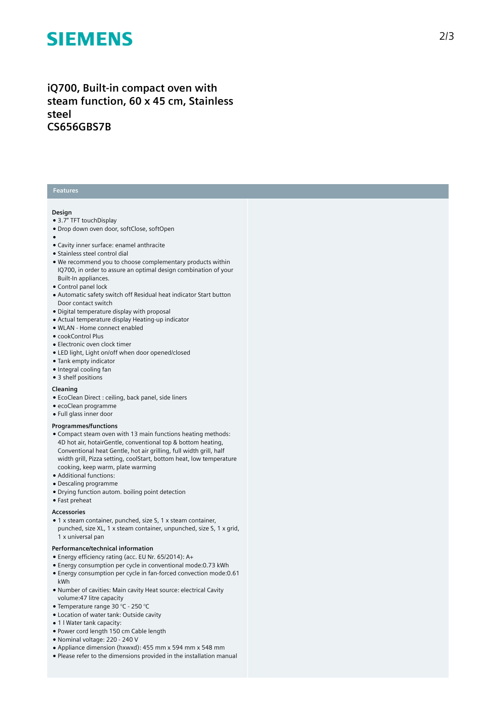# **SIEMENS**

# iQ700, Built-in compact oven with steam function, 60 x 45 cm, Stainless **s t e e l CS656GBS7B**

## **Features**

### **Design**

- 3.7" TFT touchDisplay
- Drop down oven door, softClose, softOpen
- 
- ●<br>● Cavity inner surface: enamel anthracite
- Stainless steel control dial
- We recommend you to choose complementary products within IQ700, in order to assure an optimal design combination of your Built-In appliances.
- Control panel lock
- Automatic safety switch off Residual heat indicator Start button Door contact switch
- Digital temperature display with proposal
- Actual temperature display Heating-up indicator
- WLAN Home connect enabled
- cookControl Plus
- $\bullet$  Electronic oven clock timer
- LED light, Light on/off when door opened/closed
- Tank empty indicator
- Integral cooling fan
- 3 shelf positions

#### **Cleaning**

- EcoClean Direct : ceiling, back panel, side liners
- ecoClean programme
- Full glass inner door

### **Programmes/functions**

- Compact steam oven with 13 main functions heating methods: 4D hot air, hotairGentle, conventional top & bottom heating, Conventional heat Gentle, hot air grilling, full width grill, half width grill, Pizza setting, coolStart, bottom heat, low temperature cooking, keep warm, plate warming
- Additional functions:
- Descaling programme
- Drying function autom. boiling point detection
- Fast preheat

### **A c c e s s o r i e s**

• 1 x steam container, punched, size S, 1 x steam container, punched, size XL, 1 x steam container, unpunched, size S, 1 x grid, 1 x universal pan

### Performance/technical information

- Energy efficiency rating (acc. EU Nr. 65/2014): A+
- $\bullet$  Energy consumption per cycle in conventional mode:0.73 kWh
- Energy consumption per cycle in fan-forced convection mode:0.61 kWh
- Number of cavities: Main cavity Heat source: electrical Cavity volume: 47 litre capacity
- Temperature range 30 °C 250 °C
- Location of water tank: Outside cavity
- 1 | Water tank capacity:
- Power cord length 150 cm Cable length
- Nominal voltage: 220 240 V
- Appliance dimension (hxwxd): 455 mm x 594 mm x 548 mm
- Please refer to the dimensions provided in the installation manual